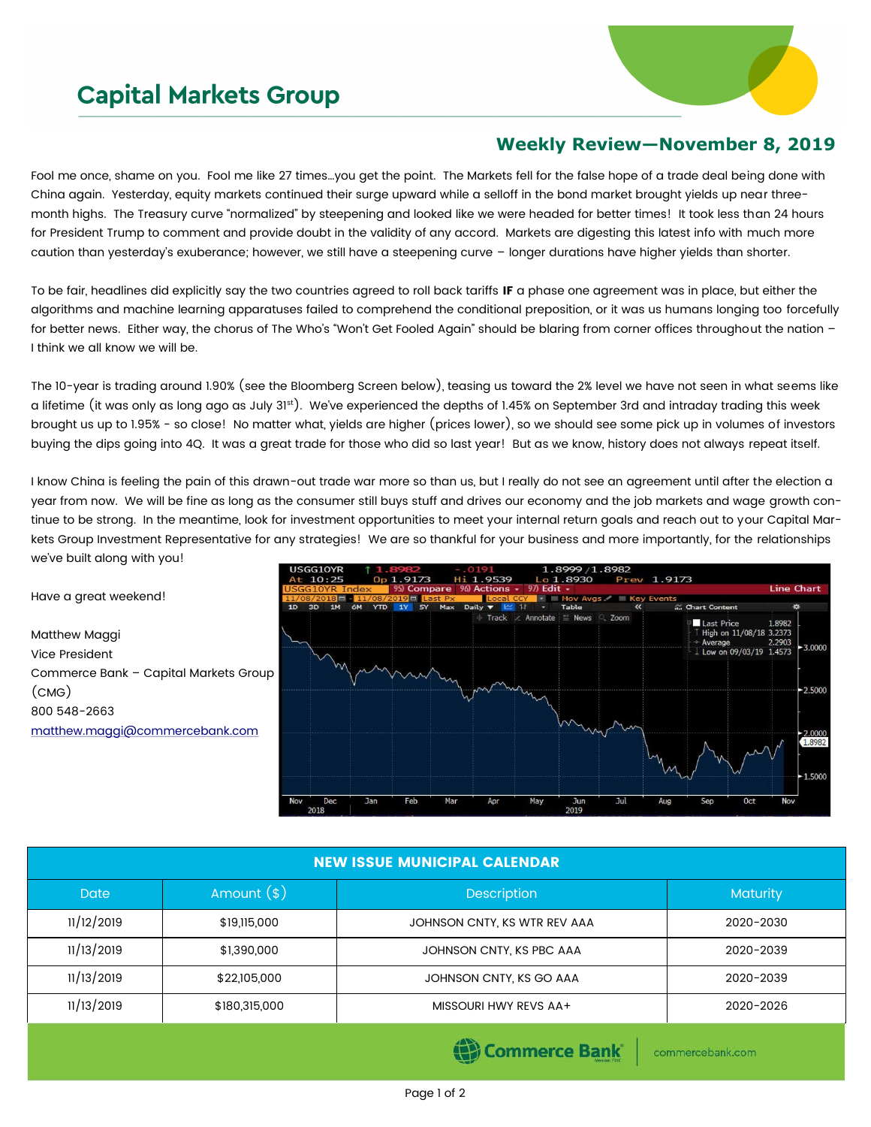## **Capital Markets Group**



## **Weekly Review—November 8, 2019**

Fool me once, shame on you. Fool me like 27 times…you get the point. The Markets fell for the false hope of a trade deal being done with China again. Yesterday, equity markets continued their surge upward while a selloff in the bond market brought yields up near threemonth highs. The Treasury curve "normalized" by steepening and looked like we were headed for better times! It took less than 24 hours for President Trump to comment and provide doubt in the validity of any accord. Markets are digesting this latest info with much more caution than yesterday's exuberance; however, we still have a steepening curve – longer durations have higher yields than shorter.

To be fair, headlines did explicitly say the two countries agreed to roll back tariffs IF a phase one agreement was in place, but either the algorithms and machine learning apparatuses failed to comprehend the conditional preposition, or it was us humans longing too forcefully for better news. Either way, the chorus of The Who's "Won't Get Fooled Again" should be blaring from corner offices throughout the nation – I think we all know we will be.

The 10-year is trading around 1.90% (see the Bloomberg Screen below), teasing us toward the 2% level we have not seen in what seems like a lifetime (it was only as long ago as July 31st). We've experienced the depths of 1.45% on September 3rd and intraday trading this week brought us up to 1.95% - so close! No matter what, yields are higher (prices lower), so we should see some pick up in volumes of investors buying the dips going into 4Q. It was a great trade for those who did so last year! But as we know, history does not always repeat itself.

I know China is feeling the pain of this drawn-out trade war more so than us, but I really do not see an agreement until after the election a year from now. We will be fine as long as the consumer still buys stuff and drives our economy and the job markets and wage growth continue to be strong. In the meantime, look for investment opportunities to meet your internal return goals and reach out to your Capital Markets Group Investment Representative for any strategies! We are so thankful for your business and more importantly, for the relationships we've built along with you!

Have a great weekend!

Matthew Maggi Vice President Commerce Bank – Capital Markets Group (CMG) 800 548-2663 [matthew.maggi@commercebank.com](mailto:matthew.maggi@commercebank.com)



## NEW ISSUE MUNICIPAL CALENDAR

| <b>Date</b> | Amount $(*)$  | <b>Description</b>           | <b>Maturity</b> |  |
|-------------|---------------|------------------------------|-----------------|--|
| 11/12/2019  | \$19,115,000  | JOHNSON CNTY, KS WTR REV AAA | 2020-2030       |  |
| 11/13/2019  | \$1,390,000   | JOHNSON CNTY, KS PBC AAA     | 2020-2039       |  |
| 11/13/2019  | \$22,105,000  | JOHNSON CNTY, KS GO AAA      | 2020-2039       |  |
| 11/13/2019  | \$180,315,000 | MISSOURI HWY REVS AA+        | 2020-2026       |  |
|             |               |                              |                 |  |

(e) Commerce Bank

commercebank.com